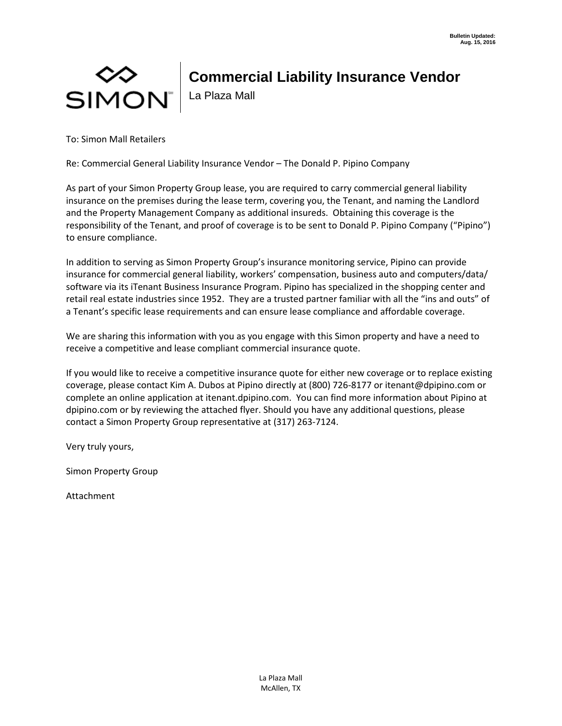# NON⊃<br>| SIMON

# **Commercial Liability Insurance Vendor**

La Plaza Mall

To: Simon Mall Retailers

Re: Commercial General Liability Insurance Vendor – The Donald P. Pipino Company

As part of your Simon Property Group lease, you are required to carry commercial general liability insurance on the premises during the lease term, covering you, the Tenant, and naming the Landlord and the Property Management Company as additional insureds. Obtaining this coverage is the responsibility of the Tenant, and proof of coverage is to be sent to Donald P. Pipino Company ("Pipino") to ensure compliance.

In addition to serving as Simon Property Group's insurance monitoring service, Pipino can provide insurance for commercial general liability, workers' compensation, business auto and computers/data/ software via its iTenant Business Insurance Program. Pipino has specialized in the shopping center and retail real estate industries since 1952. They are a trusted partner familiar with all the "ins and outs" of a Tenant's specific lease requirements and can ensure lease compliance and affordable coverage.

We are sharing this information with you as you engage with this Simon property and have a need to receive a competitive and lease compliant commercial insurance quote.

If you would like to receive a competitive insurance quote for either new coverage or to replace existing coverage, please contact Kim A. Dubos at Pipino directly at (800) 726-8177 or itenant@dpipino.com or complete an online application at itenant.dpipino.com. You can find more information about Pipino at dpipino.com or by reviewing the attached flyer. Should you have any additional questions, please contact a Simon Property Group representative at (317) 263-7124.

Very truly yours,

Simon Property Group

Attachment